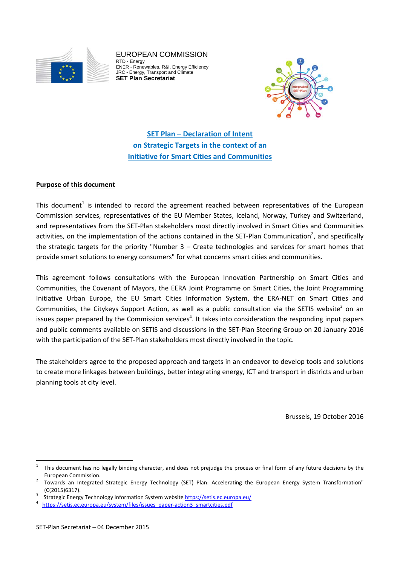

EUROPEAN COMMISSION RTD - Energy ENER - Renewables, R&I, Energy Efficiency JRC - Energy, Transport and Climate **SET Plan Secretariat** 



**SET Plan – Declaration of Intent on Strategic Targets in the context of an Initiative for Smart Cities and Communities**

# **Purpose of this document**

This document<sup>1</sup> is intended to record the agreement reached between representatives of the European Commission services, representatives of the EU Member States, Iceland, Norway, Turkey and Switzerland, and representatives from the SET‐Plan stakeholders most directly involved in Smart Cities and Communities activities, on the implementation of the actions contained in the SET-Plan Communication<sup>2</sup>, and specifically the strategic targets for the priority "Number 3 – Create technologies and services for smart homes that provide smart solutions to energy consumers" for what concerns smart cities and communities.

This agreement follows consultations with the European Innovation Partnership on Smart Cities and Communities, the Covenant of Mayors, the EERA Joint Programme on Smart Cities, the Joint Programming Initiative Urban Europe, the EU Smart Cities Information System, the ERA‐NET on Smart Cities and Communities, the Citykeys Support Action, as well as a public consultation via the SETIS website<sup>3</sup> on an issues paper prepared by the Commission services<sup>4</sup>. It takes into consideration the responding input papers and public comments available on SETIS and discussions in the SET‐Plan Steering Group on 20 January 2016 with the participation of the SET-Plan stakeholders most directly involved in the topic.

The stakeholders agree to the proposed approach and targets in an endeavor to develop tools and solutions to create more linkages between buildings, better integrating energy, ICT and transport in districts and urban planning tools at city level.

Brussels, 19 October 2016

<sup>1</sup> This document has no legally binding character, and does not prejudge the process or final form of any future decisions by the European Commission. <sup>2</sup>

 Towards an Integrated Strategic Energy Technology (SET) Plan: Accelerating the European Energy System Transformation" (C(2015)6317).

Strategic Energy Technology Information System website https://setis.ec.europa.eu/

https://setis.ec.europa.eu/system/files/issues\_paper-action3\_smartcities.pdf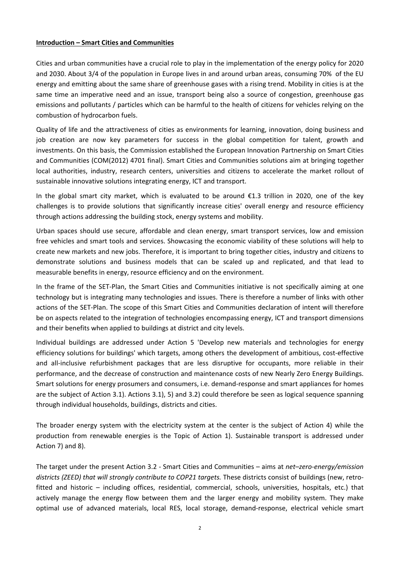## **Introduction – Smart Cities and Communities**

Cities and urban communities have a crucial role to play in the implementation of the energy policy for 2020 and 2030. About 3/4 of the population in Europe lives in and around urban areas, consuming 70% of the EU energy and emitting about the same share of greenhouse gases with a rising trend. Mobility in cities is at the same time an imperative need and an issue, transport being also a source of congestion, greenhouse gas emissions and pollutants / particles which can be harmful to the health of citizens for vehicles relying on the combustion of hydrocarbon fuels.

Quality of life and the attractiveness of cities as environments for learning, innovation, doing business and job creation are now key parameters for success in the global competition for talent, growth and investments. On this basis, the Commission established the European Innovation Partnership on Smart Cities and Communities (COM(2012) 4701 final). Smart Cities and Communities solutions aim at bringing together local authorities, industry, research centers, universities and citizens to accelerate the market rollout of sustainable innovative solutions integrating energy, ICT and transport.

In the global smart city market, which is evaluated to be around €1.3 trillion in 2020, one of the key challenges is to provide solutions that significantly increase cities' overall energy and resource efficiency through actions addressing the building stock, energy systems and mobility.

Urban spaces should use secure, affordable and clean energy, smart transport services, low and emission free vehicles and smart tools and services. Showcasing the economic viability of these solutions will help to create new markets and new jobs. Therefore, it is important to bring together cities, industry and citizens to demonstrate solutions and business models that can be scaled up and replicated, and that lead to measurable benefits in energy, resource efficiency and on the environment.

In the frame of the SET‐Plan, the Smart Cities and Communities initiative is not specifically aiming at one technology but is integrating many technologies and issues. There is therefore a number of links with other actions of the SET‐Plan. The scope of this Smart Cities and Communities declaration of intent will therefore be on aspects related to the integration of technologies encompassing energy, ICT and transport dimensions and their benefits when applied to buildings at district and city levels.

Individual buildings are addressed under Action 5 'Develop new materials and technologies for energy efficiency solutions for buildings' which targets, among others the development of ambitious, cost-effective and all-inclusive refurbishment packages that are less disruptive for occupants, more reliable in their performance, and the decrease of construction and maintenance costs of new Nearly Zero Energy Buildings. Smart solutions for energy prosumers and consumers, i.e. demand‐response and smart appliances for homes are the subject of Action 3.1). Actions 3.1), 5) and 3.2) could therefore be seen as logical sequence spanning through individual households, buildings, districts and cities.

The broader energy system with the electricity system at the center is the subject of Action 4) while the production from renewable energies is the Topic of Action 1). Sustainable transport is addressed under Action 7) and 8).

The target under the present Action 3.2 ‐ Smart Cities and Communities – aims at *net–zero‐energy/emission districts (ZEED) that will strongly contribute to COP21 targets.* These districts consist of buildings (new, retro‐ fitted and historic – including offices, residential, commercial, schools, universities, hospitals, etc.) that actively manage the energy flow between them and the larger energy and mobility system. They make optimal use of advanced materials, local RES, local storage, demand‐response, electrical vehicle smart